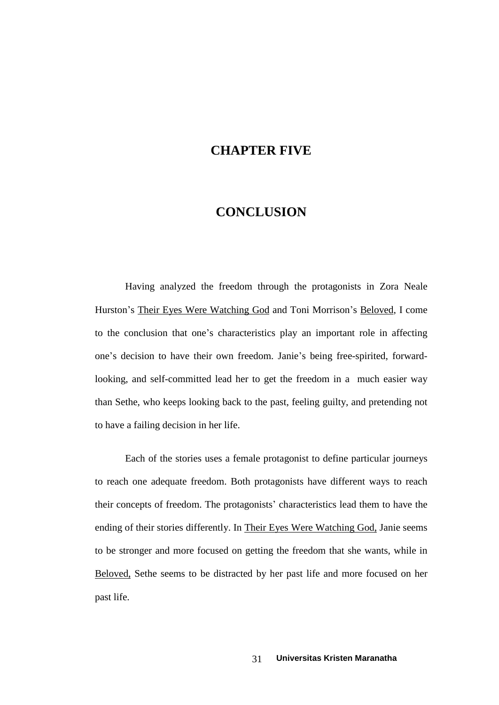## **CHAPTER FIVE**

## **CONCLUSION**

Having analyzed the freedom through the protagonists in Zora Neale Having analyzed the freedom through the protagonists in Zora Neale<br>Hurston's Their Eyes Were Watching God and Toni Morrison's <u>Beloved</u>, I come Hurston's Their Eyes Were Watching God and Toni Morrison's Beloved, I come<br>to the conclusion that one's characteristics play an important role in affecting to the conclusion that one's characteristics play an important role in affecting<br>one's decision to have their own freedom. Janie's being free-spirited, forwardlooking, and self-committed lead her to get the freedom in a much easier way than Sethe, who keeps looking back to the past, feeling guilty, and pretending not to have a failing decision in her life.

Each of the stories uses a female protagonist to define particular journeys to reach one adequate freedom. Both protagonists have different ways to reach<br>their concepts of freedom. The protagonists' characteristics lead them to have the ending of their stories differently. In Their Eyes Were Watching God, Janie seems to be stronger and more focused on getting the freedom that she wants, while in Beloved, Sethe seems to be distracted by her past life and more focused on her past life.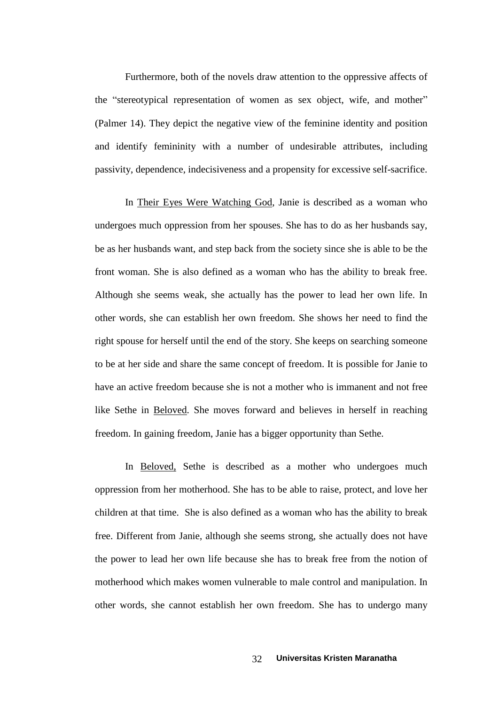Furthermore, both of the novels draw attention to the oppressive affects of the "stereotypical representation of women as sex object, wife, and mother" (Palmer 14). They depict the negative view of the feminine identity and position and identify femininity with a number of undesirable attributes, including passivity, dependence, indecisiveness and a propensity for excessive self-sacrifice.

In Their Eyes Were Watching God, Janie is described as a woman who undergoes much oppression from her spouses. She has to do as her husbands say, be as her husbands want, and step back from the society since she is able to be the front woman. She is also defined as a woman who has the ability to break free. Although she seems weak, she actually has the power to lead her own life. In other words, she can establish her own freedom. She shows her need to find the right spouse for herself until the end of the story. She keeps on searching someone to be at her side and share the same concept of freedom. It is possible for Janie to have an active freedom because she is not a mother who is immanent and not free like Sethe in Beloved. She moves forward and believes in herself in reaching freedom. In gaining freedom, Janie has a bigger opportunity than Sethe.

In Beloved, Sethe is described as a mother who undergoes much oppression from her motherhood. She has to be able to raise, protect, and love her children at that time. She is also defined as a woman who has the ability to break free. Different from Janie, although she seems strong, she actually does not have the power to lead her own life because she has to break free from the notion of motherhood which makes women vulnerable to male control and manipulation. In other words, she cannot establish her own freedom. She has to undergo many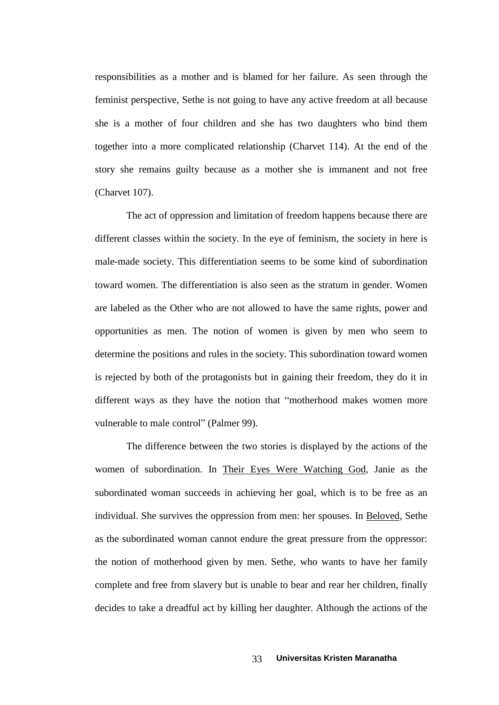responsibilities as a mother and is blamed for her failure. As seen through the feminist perspective, Sethe is not going to have any active freedom at all because she is a mother of four children and she has two daughters who bind them together into a more complicated relationship (Charvet  $114$ ). At the end of the story she remains guilty because as a mother she is immanent and not free (Charvet 107).

The act of oppression and limitation of freedom happens because there are different classes within the society. In the eye of feminism, the society in here is male-made society. This differentiation seems to be some kind of subordination toward women. The differentiation is also seen as the stratum in gender. Women are labeled as the Other who are not allowed to have the same rights, power and opportunities as men. The notion of women is given by men who seem to determine the positions and rules in the society. This subordination toward women is rejected by both of the protagonists but in gaining their freedom, they do it in<br>different ways as they have the notion that "motherhood makes women more different ways as they have the notion that "motherhood makes women more vulnerable to male control" (Palmer 99).

The difference between the two stories is displayed by the actions of the women of subordination. In Their Eyes Were Watching God, Janie as the subordinated woman succeeds in achieving her goal, which is to be free as an individual. She survives the oppression from men: her spouses. In Beloved, Sethe as the subordinated woman cannot endure the great pressure from the oppressor: the notion of motherhood given by men. Sethe, who wants to have her family complete and free from slavery but is unable to bear and rear her children, finally decides to take a dreadful act by killing her daughter. Although the actions of the